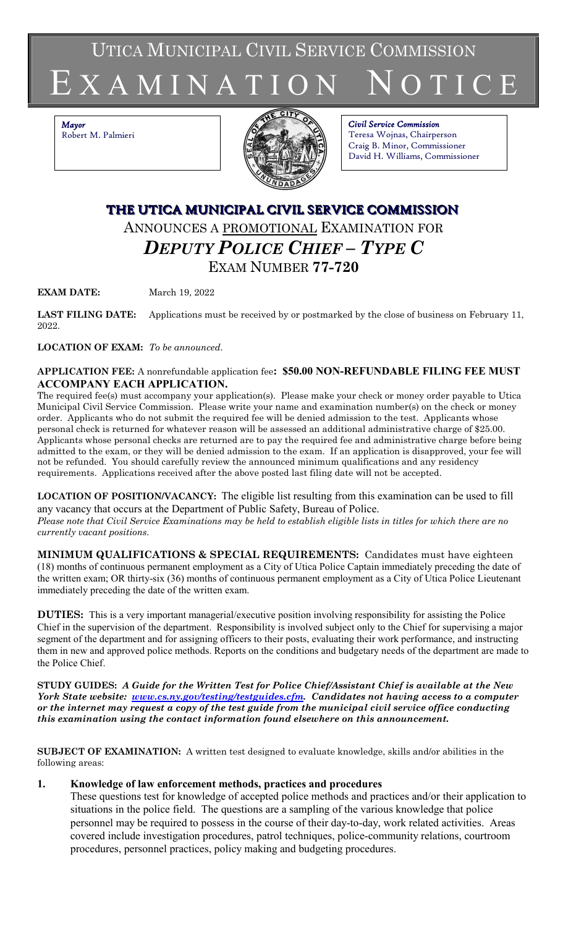UTICA MUNICIPAL CIVIL SERVICE COMMISSION

# E X A M I N A T I O N \_ N O T I C E

*Mayor* Robert M. Palmieri



*Civil Service Commission* Teresa Wojnas, Chairperson Craig B. Minor, Commissioner David H. Williams, Commissioner

# **THE UTICA MUNICIPAL CIVIL SERVICE COMMISSION** ANNOUNCES A PROMOTIONAL EXAMINATION FOR *DEPUTY POLICE CHIEF – TYPE C* EXAM NUMBER **77-720**

**EXAM DATE:** March 19, 2022

**LAST FILING DATE:** Applications must be received by or postmarked by the close of business on February 11, 2022.

**LOCATION OF EXAM:** *To be announced*.

# **APPLICATION FEE:** A nonrefundable application fee**: \$50.00 NON-REFUNDABLE FILING FEE MUST ACCOMPANY EACH APPLICATION.**

The required fee(s) must accompany your application(s). Please make your check or money order payable to Utica Municipal Civil Service Commission. Please write your name and examination number(s) on the check or money order. Applicants who do not submit the required fee will be denied admission to the test. Applicants whose personal check is returned for whatever reason will be assessed an additional administrative charge of \$25.00. Applicants whose personal checks are returned are to pay the required fee and administrative charge before being admitted to the exam, or they will be denied admission to the exam. If an application is disapproved, your fee will not be refunded. You should carefully review the announced minimum qualifications and any residency requirements. Applications received after the above posted last filing date will not be accepted.

**LOCATION OF POSITION/VACANCY:** The eligible list resulting from this examination can be used to fill any vacancy that occurs at the Department of Public Safety, Bureau of Police. *Please note that Civil Service Examinations may be held to establish eligible lists in titles for which there are no currently vacant positions.*

**MINIMUM QUALIFICATIONS & SPECIAL REQUIREMENTS:** Candidates must have eighteen (18) months of continuous permanent employment as a City of Utica Police Captain immediately preceding the date of the written exam; OR thirty-six (36) months of continuous permanent employment as a City of Utica Police Lieutenant immediately preceding the date of the written exam.

**DUTIES:** This is a very important managerial/executive position involving responsibility for assisting the Police Chief in the supervision of the department. Responsibility is involved subject only to the Chief for supervising a major segment of the department and for assigning officers to their posts, evaluating their work performance, and instructing them in new and approved police methods. Reports on the conditions and budgetary needs of the department are made to the Police Chief.

**STUDY GUIDES:** *A Guide for the Written Test for Police Chief/Assistant Chief is available at the New York State website: [www.cs.ny.gov/testing/testguides.cfm.](http://www.cs.ny.gov/testing/testguides.cfm) Candidates not having access to a computer or the internet may request a copy of the test guide from the municipal civil service office conducting this examination using the contact information found elsewhere on this announcement.* 

**SUBJECT OF EXAMINATION:** A written test designed to evaluate knowledge, skills and/or abilities in the following areas:

# **1. Knowledge of law enforcement methods, practices and procedures**

These questions test for knowledge of accepted police methods and practices and/or their application to situations in the police field. The questions are a sampling of the various knowledge that police personnel may be required to possess in the course of their day-to-day, work related activities. Areas covered include investigation procedures, patrol techniques, police-community relations, courtroom procedures, personnel practices, policy making and budgeting procedures.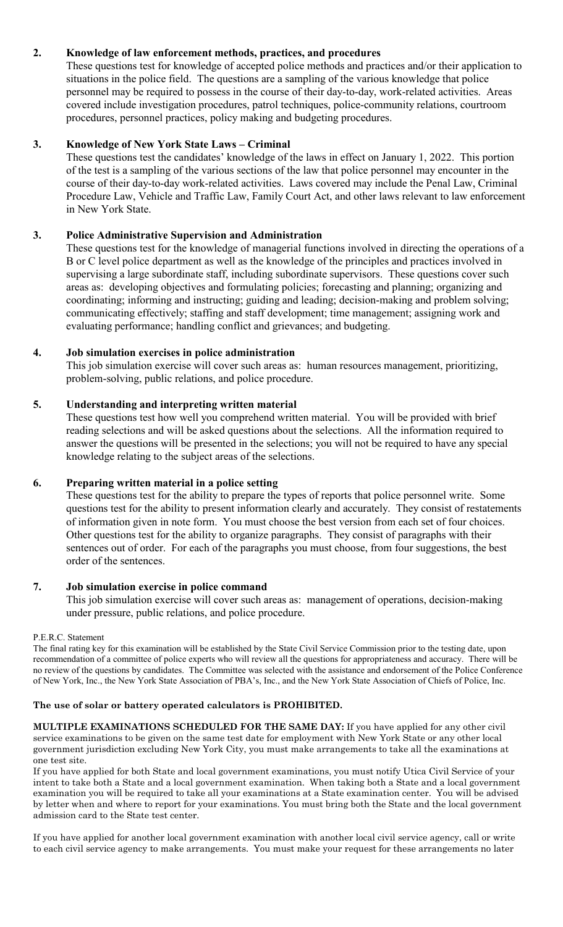# **2. Knowledge of law enforcement methods, practices, and procedures**

These questions test for knowledge of accepted police methods and practices and/or their application to situations in the police field. The questions are a sampling of the various knowledge that police personnel may be required to possess in the course of their day-to-day, work-related activities. Areas covered include investigation procedures, patrol techniques, police-community relations, courtroom procedures, personnel practices, policy making and budgeting procedures.

# **3. Knowledge of New York State Laws – Criminal**

These questions test the candidates' knowledge of the laws in effect on January 1, 2022. This portion of the test is a sampling of the various sections of the law that police personnel may encounter in the course of their day-to-day work-related activities. Laws covered may include the Penal Law, Criminal Procedure Law, Vehicle and Traffic Law, Family Court Act, and other laws relevant to law enforcement in New York State.

# **3. Police Administrative Supervision and Administration**

These questions test for the knowledge of managerial functions involved in directing the operations of a B or C level police department as well as the knowledge of the principles and practices involved in supervising a large subordinate staff, including subordinate supervisors. These questions cover such areas as: developing objectives and formulating policies; forecasting and planning; organizing and coordinating; informing and instructing; guiding and leading; decision-making and problem solving; communicating effectively; staffing and staff development; time management; assigning work and evaluating performance; handling conflict and grievances; and budgeting.

# **4. Job simulation exercises in police administration**

This job simulation exercise will cover such areas as: human resources management, prioritizing, problem-solving, public relations, and police procedure.

# **5. Understanding and interpreting written material**

These questions test how well you comprehend written material. You will be provided with brief reading selections and will be asked questions about the selections. All the information required to answer the questions will be presented in the selections; you will not be required to have any special knowledge relating to the subject areas of the selections.

# **6. Preparing written material in a police setting**

These questions test for the ability to prepare the types of reports that police personnel write. Some questions test for the ability to present information clearly and accurately. They consist of restatements of information given in note form. You must choose the best version from each set of four choices. Other questions test for the ability to organize paragraphs. They consist of paragraphs with their sentences out of order. For each of the paragraphs you must choose, from four suggestions, the best order of the sentences.

# **7. Job simulation exercise in police command**

This job simulation exercise will cover such areas as: management of operations, decision-making under pressure, public relations, and police procedure.

#### P.E.R.C. Statement

The final rating key for this examination will be established by the State Civil Service Commission prior to the testing date, upon recommendation of a committee of police experts who will review all the questions for appropriateness and accuracy. There will be no review of the questions by candidates. The Committee was selected with the assistance and endorsement of the Police Conference of New York, Inc., the New York State Association of PBA's, Inc., and the New York State Association of Chiefs of Police, Inc.

# **The use of solar or battery operated calculators is PROHIBITED.**

**MULTIPLE EXAMINATIONS SCHEDULED FOR THE SAME DAY:** If you have applied for any other civil service examinations to be given on the same test date for employment with New York State or any other local government jurisdiction excluding New York City, you must make arrangements to take all the examinations at one test site.

If you have applied for both State and local government examinations, you must notify Utica Civil Service of your intent to take both a State and a local government examination. When taking both a State and a local government examination you will be required to take all your examinations at a State examination center. You will be advised by letter when and where to report for your examinations. You must bring both the State and the local government admission card to the State test center.

If you have applied for another local government examination with another local civil service agency, call or write to each civil service agency to make arrangements. You must make your request for these arrangements no later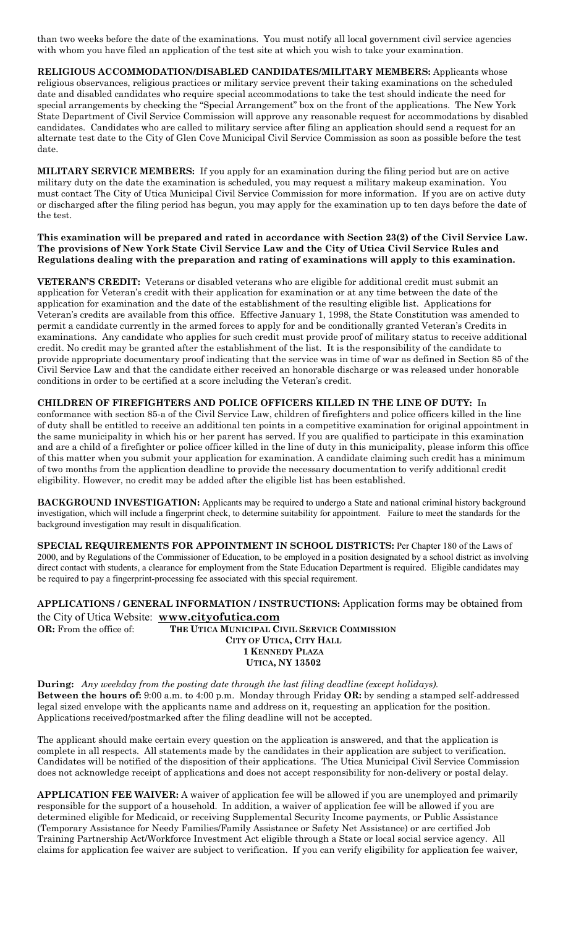than two weeks before the date of the examinations. You must notify all local government civil service agencies with whom you have filed an application of the test site at which you wish to take your examination.

**RELIGIOUS ACCOMMODATION/DISABLED CANDIDATES/MILITARY MEMBERS:** Applicants whose religious observances, religious practices or military service prevent their taking examinations on the scheduled date and disabled candidates who require special accommodations to take the test should indicate the need for special arrangements by checking the "Special Arrangement" box on the front of the applications. The New York State Department of Civil Service Commission will approve any reasonable request for accommodations by disabled candidates. Candidates who are called to military service after filing an application should send a request for an alternate test date to the City of Glen Cove Municipal Civil Service Commission as soon as possible before the test date.

**MILITARY SERVICE MEMBERS:** If you apply for an examination during the filing period but are on active military duty on the date the examination is scheduled, you may request a military makeup examination. You must contact The City of Utica Municipal Civil Service Commission for more information. If you are on active duty or discharged after the filing period has begun, you may apply for the examination up to ten days before the date of the test.

**This examination will be prepared and rated in accordance with Section 23(2) of the Civil Service Law. The provisions of New York State Civil Service Law and the City of Utica Civil Service Rules and Regulations dealing with the preparation and rating of examinations will apply to this examination.**

**VETERAN'S CREDIT:** Veterans or disabled veterans who are eligible for additional credit must submit an application for Veteran's credit with their application for examination or at any time between the date of the application for examination and the date of the establishment of the resulting eligible list. Applications for Veteran's credits are available from this office. Effective January 1, 1998, the State Constitution was amended to permit a candidate currently in the armed forces to apply for and be conditionally granted Veteran's Credits in examinations. Any candidate who applies for such credit must provide proof of military status to receive additional credit. No credit may be granted after the establishment of the list. It is the responsibility of the candidate to provide appropriate documentary proof indicating that the service was in time of war as defined in Section 85 of the Civil Service Law and that the candidate either received an honorable discharge or was released under honorable conditions in order to be certified at a score including the Veteran's credit.

**CHILDREN OF FIREFIGHTERS AND POLICE OFFICERS KILLED IN THE LINE OF DUTY:** In conformance with section 85-a of the Civil Service Law, children of firefighters and police officers killed in the line of duty shall be entitled to receive an additional ten points in a competitive examination for original appointment in the same municipality in which his or her parent has served. If you are qualified to participate in this examination and are a child of a firefighter or police officer killed in the line of duty in this municipality, please inform this office of this matter when you submit your application for examination. A candidate claiming such credit has a minimum of two months from the application deadline to provide the necessary documentation to verify additional credit eligibility. However, no credit may be added after the eligible list has been established.

**BACKGROUND INVESTIGATION:** Applicants may be required to undergo a State and national criminal history background investigation, which will include a fingerprint check, to determine suitability for appointment. Failure to meet the standards for the background investigation may result in disqualification.

**SPECIAL REQUIREMENTS FOR APPOINTMENT IN SCHOOL DISTRICTS:** Per Chapter 180 of the Laws of 2000, and by Regulations of the Commissioner of Education, to be employed in a position designated by a school district as involving direct contact with students, a clearance for employment from the State Education Department is required. Eligible candidates may be required to pay a fingerprint-processing fee associated with this special requirement.

**APPLICATIONS / GENERAL INFORMATION / INSTRUCTIONS:** Application forms may be obtained from the City of Utica Website: **[www.cityofutica.com](http://www.cityofutica.com/) OR:** From the office of: **THE UTICA MUNICIPAL CIVIL SERVICE COMMISSION**

**CITY OF UTICA, CITY HALL 1 KENNEDY PLAZA UTICA, NY 13502**

**During:** *Any weekday from the posting date through the last filing deadline (except holidays).* **Between the hours of:** 9:00 a.m. to 4:00 p.m. Monday through Friday **OR:** by sending a stamped self-addressed legal sized envelope with the applicants name and address on it, requesting an application for the position. Applications received/postmarked after the filing deadline will not be accepted.

The applicant should make certain every question on the application is answered, and that the application is complete in all respects. All statements made by the candidates in their application are subject to verification. Candidates will be notified of the disposition of their applications. The Utica Municipal Civil Service Commission does not acknowledge receipt of applications and does not accept responsibility for non-delivery or postal delay.

**APPLICATION FEE WAIVER:** A waiver of application fee will be allowed if you are unemployed and primarily responsible for the support of a household. In addition, a waiver of application fee will be allowed if you are determined eligible for Medicaid, or receiving Supplemental Security Income payments, or Public Assistance (Temporary Assistance for Needy Families/Family Assistance or Safety Net Assistance) or are certified Job Training Partnership Act/Workforce Investment Act eligible through a State or local social service agency. All claims for application fee waiver are subject to verification. If you can verify eligibility for application fee waiver,